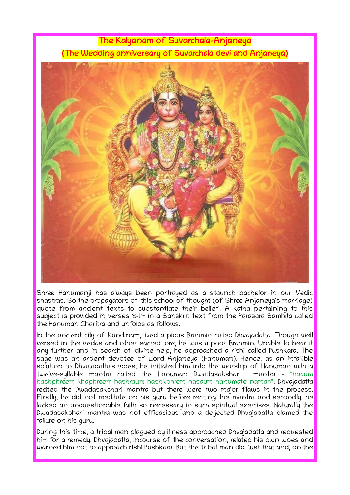## The Kalyanam of Suvarchala-Anjaneya (The Wedding anniversary of Suvarchala devi and Anjaneya)



Shree Hanumanji has always been portrayed as a staunch bachelor in our Vedic shastras. So the propagators of this school of thought (of Shree Anjaneya's marriage) quote from ancient texts to substantiate their belief. A katha pertaining to this subject is provided in verses 8-14 in a Sanskrit text from the Parasara Samhita called the Hanuman Charitra and unfolds as follows.

In the ancient city of Kundinam, lived a pious Brahmin called Dhvajadatta. Though well versed in the Vedas and other sacred lore, he was a poor Brahmin. Unable to bear it any further and in search of divine help, he approached a rishi called Pushkara. The sage was an ardent devotee of Lord Anjaneya (Hanuman). Hence, as an infallible solution to Dhvajadatta's woes, he initiated him into the worship of Hanuman with a<br>twelve-syllable mantra called the Hanuman Dwadasakshari mantra - "haaum twelve-syllable mantra called the Hanuman Dwadasakshari hashphreem khaphreem hashraum hashkphrem hasaum hanumate namah". Dhvajadatta recited the Dwadasakshari mantra but there were two major flaws in the process. Firstly, he did not meditate on his guru before reciting the mantra and secondly, he lacked an unquestionable faith so necessary in such spiritual exercises. Naturally the Dwadasakshari mantra was not efficacious and a dejected Dhvajadatta blamed the failure on his guru.

During this time, a tribal man plagued by illness approached Dhvajadatta and requested him for a remedy. Dhvajadatta, incourse of the conversation, related his own woes and warned him not to approach rishi Pushkara. But the tribal man did just that and, on the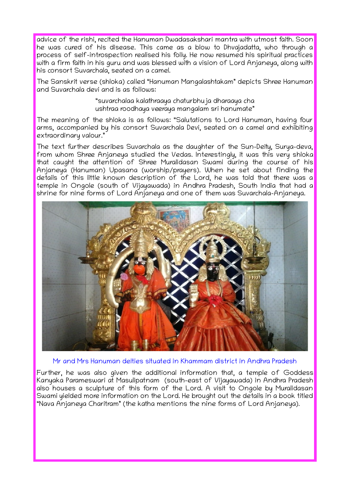advice of the rishi, recited the Hanuman Dwadasakshari mantra with utmost faith. Soon he was cured of his disease. This came as a blow to Dhvajadatta, who through a process of self-introspection realised his folly. He now resumed his spiritual practices with a firm faith in his guru and was blessed with a vision of Lord Anjaneya, along with his consort Suvarchala, seated on a camel.

The Sanskrit verse (shloka) called "Hanuman Mangalashtakam" depicts Shree Hanuman and Suvarchala devi and is as follows:

> "suvarchalaa kalathraaya chaturbhuja dharaaya cha ushtraa roodhaya veeraya mangalam sri hanumate"

The meaning of the shloka is as follows: "Salutations to Lord Hanuman, having four arms, accompanied by his consort Suvarchala Devi, seated on a camel and exhibiting extraordinary valour."

The text further describes Suvarchala as the daughter of the Sun-Deity, Surya-deva, from whom Shree Anjaneya studied the Vedas. Interestingly, it was this very shloka that caught the attention of Shree Muralidasan Swami during the course of his Anjaneya (Hanuman) Upasana (worship/prayers). When he set about finding the details of this little known description of the Lord, he was told that there was a temple in Ongole (south of Vijayawada) in Andhra Pradesh, South India that had a shrine for nine forms of Lord Anjaneya and one of them was Suvarchala-Anjaneya.



Mr and Mrs Hanuman deities situated in Khammam district in Andhra Pradesh

Further, he was also given the additional information that, a temple of Goddess Kanyaka Parameswari at Masulipatnam (south-east of Vijayawada) in Andhra Pradesh also houses a sculpture of this form of the Lord. A visit to Ongole by Muralidasan Swami yielded more information on the Lord. He brought out the details in a book titled "Nava Anjaneya Charitram" (the katha mentions the nine forms of Lord Anjaneya).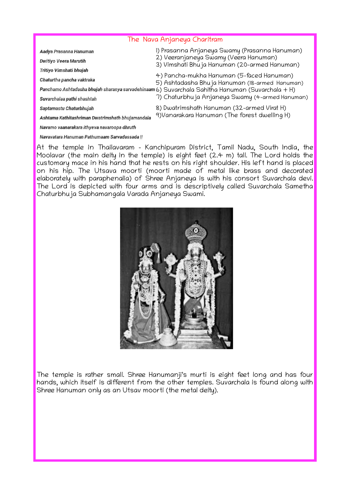## The Nava Anjaneya Charitram

| Aadya Prasanna Hanuman                           | I) Prasanna Anjaneya Swamy (Prasanna Hanuman)                                                    |
|--------------------------------------------------|--------------------------------------------------------------------------------------------------|
| Dwitiyo Veera Marutih                            | 2) Veeranjaneya Swamy (Veera Hanuman)<br>3) Vimshati Bhu ja Hanuman (20-armed Hanuman)           |
| Tritiyo Vimshati bhujah                          |                                                                                                  |
| Chaturtha pancha vaktraka                        | 4) Pancha-mukha Hanuman (5-faced Hanuman)<br>5) Ashtadasha Bhuja Hanuman (18-armed Hanuman)      |
|                                                  | Panchamo Ashtadasha bhujah sharanya sarvadehinaam 6) Suvarchala Sahitha Hanuman (Suvarchala + H) |
| Suvarchalaa pathi shashtah                       | 7) Chaturbhu ja Anjaneya Swamy (4-armed Hanuman)                                                 |
| Saptamastu Chaturbhujah                          | 8) Dwatrimshath Hanuman (32-armed Virat H)                                                       |
| Ashtama Kathitashriman Dwatrimshath bhujamandala | 9) Vanarakara Hanuman (The forest dwelling H)                                                    |
| Navamo vaanarakara ithyeva navaroopa dhruth      |                                                                                                  |

Navavatara Hanuman Pathumaam Sarvadassada ||

At the temple in Thailavaram – Kanchipuram District, Tamil Nadu, South India, the Moolavar (the main deity in the temple) is eight feet (2.4 m) tall. The Lord holds the customary mace in his hand that he rests on his right shoulder. His left hand is placed on his hip. The Utsava moorti (moorti made of metal like brass and decorated elaborately with paraphenalia) of Shree Anjaneya is with his consort Suvarchala devi. The Lord is depicted with four arms and is descriptively called Suvarchala Sametha Chaturbhuja Subhamangala Varada Anjaneya Swami.

![](_page_2_Picture_4.jpeg)

The temple is rather small. Shree Hanumanji's murti is eight feet long and has four hands, which itself is different from the other temples. Suvarchala is found along with Shree Hanuman only as an Utsav moorti (the metal deity).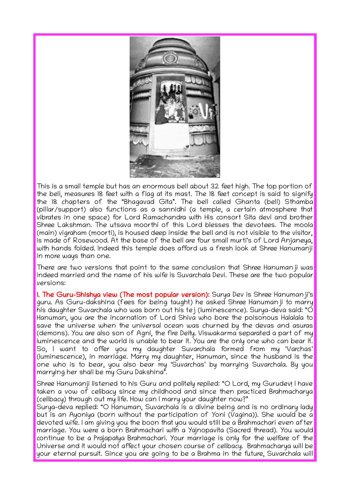![](_page_3_Picture_0.jpeg)

This is a small temple but has an enormous bell about 32 feet high. The top portion of the bell, measures 18 feet with a flag at its mast. The 18 feet concept is said to signify the 18 chapters of the "Bhagavad Gita". The bell called Ghanta (bell) Sthamba (pillar/support) also functions as a sannidhi (a temple, a certain atmosphere that vibrates in one space) for Lord Ramachandra with His consort Sita devi and brother Shree Lakshman. The utsava moorthi of this Lord blesses the devotees. The moola (main) vigraham (moorti), is housed deep inside the bell and is not visible to the visitor, is made of Rosewood. At the base of the bell are four small murti's of Lord Anjaneya, with hands folded. Indeed this temple does afford us a fresh look at Shree Hanumanji in more ways than one.

There are two versions that point to the same conclusion that Shree Hanumanji was indeed married and the name of his wife is Suvarchala Devi. These are the two popular versions:

1. The Guru-Shishya view (The most popular version): Surya Dev is Shree Hanuman ji's guru. As Guru-dakshina (fees for being taught) he asked Shree Hanumanji to marry his daughter Suvarchala who was born out his tej (luminescence). Surya-deva said: "O Hanuman, you are the incarnation of Lord Shiva who bore the poisonous Halalala to save the universe when the universal ocean was churned by the devas and asuras (demons). You are also son of Agni, the fire Deity. Viswakarma separated a part of my luminescence and the world is unable to bear it. You are the only one who can bear it. So, I want to offer you my daughter Suvarchala formed from my 'Varchas' (luminescence), in marriage. Marry my daughter, Hanuman, since the husband is the one who is to bear, you also bear my 'Suvarchas' by marrying Suvarchala. By you marrying her shall be my Guru Dakshina".

Shree Hanumanji listened to his Guru and politely replied: "O Lord, my Gurudev! I have taken a vow of celibacy since my childhood and since then practiced Brahmacharya (celibacy) through out my life. How can I marry your daughter now?"

Surya-deva replied: "O Hanuman, Suvarchala is a divine being and is no ordinary lady but is an Ayoniya (born without the participation of Yoni (Vagina)). She would be a devoted wife. I am giving you the boon that you would still be a Brahmachari even after marriage. You were a born Brahmachari with a Yajnopavita (Sacred thread). You would continue to be a Prajapatya Brahmachari. Your marriage is only for the welfare of the Universe and it would not affect your chosen course of celibacy. Brahmacharya will be your eternal pursuit. Since you are going to be a Brahma in the future, Suvarchala will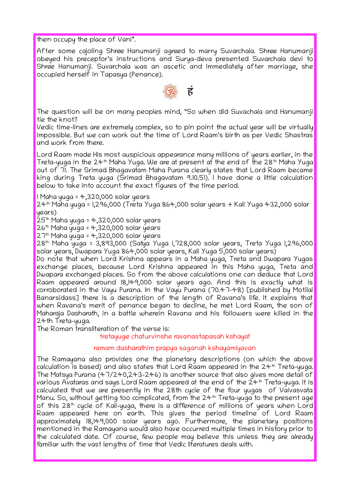then occupy the place of Vani".

After some cajoling Shree Hanumanji agreed to marry Suvarchala. Shree Hanumanji obeyed his preceptor's instructions and Surya-deva presented Suvarchala devi to Shree Hanumanji. Suvarchala was an ascetic and immediately after marriage, she occupied herself in Tapasya (Penance).

![](_page_4_Picture_2.jpeg)

The question will be on many peoples mind, "So when did Suvachala and Hanumanji tie the knot?

Vedic time-lines are extremely complex, so to pin point the actual year will be virtually impossible. But we can work out the time of Lord Raam's birth as per Vedic Shastras and work from there.

Lord Raam made His most auspicious appearance many millions of years earlier, in the Treta-yuga in the 24<sup>th</sup> Maha Yuga. We are at present at the end of the 28<sup>th</sup> Maha Yuga out of 71. The Srimad Bhagavatam Maha Purana clearly states that Lord Raam became king during Treta yuga (Srimad Bhagavatam 9.10.51). I have done a little calculation below to take into account the exact figures of the time period.

1 Maha yuga = 4,320,000 solar years

24th Maha yuga = 1,296,000 (Treta Yuga 864,000 solar years + Kali Yuga 432,000 solar years)

 $25<sup>th</sup>$  Maha yuga = 4,320,000 solar years

 $26th$  Maha yuga = 4,320,000 solar years

 $27<sup>th</sup>$  Maha yuga = 4,320,000 solar years

28th Maha yuga = 3,893,000 (Satya Yuga 1,728,000 solar years, Treta Yuga 1,296,000 solar years, Dwapara Yuga 864,000 solar years, Kali Yuga 5,000 solar years)

Do note that when Lord Krishna appears in a Maha yuga, Treta and Dwapara Yugas exchange places, because Lord Krishna appeared in this Maha yuga, Treta and Dwapara exchanged places. So from the above calculations one can deduce that Lord Raam appeared around 18,149,000 solar years ago. And this is exactly what is corroborated in the Vayu Purana. In the Vayu Purana (70.47-48) [published by Motilal Banarsidass] there is a description of the length of Ravana's life. It explains that when Ravana's merit of penance began to decline, he met Lord Raam, the son of Maharaja Dasharath, in a battle wherein Ravana and his followers were killed in the 24th Treta-yuga.

The Roman transliteration of the verse is:

tretayuge chaturvinshe ravanastapasah kshayat

## ramam dasharathim prapya saganah kshayamiyavan

The Ramayana also provides one the planetary descriptions (on which the above calculation is based) and also states that Lord Raam appeared in the 24<sup>th</sup> Treta-yuga. The Matsya Purana (47/240,243-246) is another source that also gives more detail of various Avataras and says Lord Raam appeared at the end of the 24<sup>th</sup> Treta-yuga. It is calculated that we are presently in the 28th cycle of the four yugas of Vaivasvata Manu. So, without getting too complicated, from the  $24<sup>th</sup>$  Treta-yuga to the present age of this 28<sup>th</sup> cycle of Kali-yuga, there is a difference of millions of years when Lord Raam appeared here on earth. This gives the period timeline of Lord Raam approximately 18,149,000 solar years ago. Furthermore, the planetary positions mentioned in the Ramayana would also have occurred multiple times in history prior to the calculated date. Of course, few people may believe this unless they are already familiar with the vast lengths of time that Vedic literatures deals with.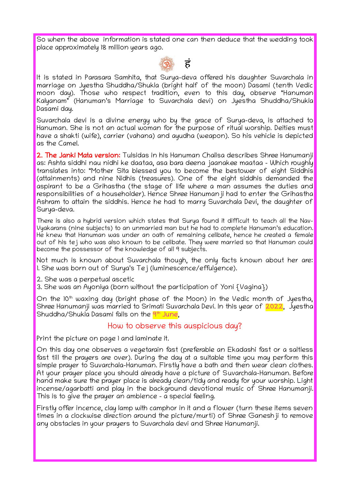So when the above information is stated one can then deduce that the wedding took place approximately 18 million years ago.

![](_page_5_Picture_1.jpeg)

It is stated in Parasara Samhita, that Surya-deva offered his daughter Suvarchala in marriage on Jyestha Shuddha/Shukla (bright half of the moon) Dasami (tenth Vedic moon day). Those who respect tradition, even to this day, observe "Hanuman Kalyanam" (Hanuman's Marriage to Suvarchala devi) on Jyestha Shuddha/Shukla Dasami day.

Suvarchala devi is a divine energy who by the grace of Surya-deva, is attached to Hanuman. She is not an actual woman for the purpose of ritual worship. Deities must have a shakti (wife), carrier (vahana) and ayudha (weapon). So his vehicle is depicted as the Camel.

2. The Janki Mata version: Tulsidas in his Hanuman Chalisa describes Shree Hanumanji as: Ashta siddhi nau nidhi ke daataa, asa bara deena jaanakee maataa - Which roughly translates into: "Mother Sita blessed you to become the bestower of eight Siddhis (attainments) and nine Nidhis (treasures). One of the eight siddhis demanded the aspirant to be a Grihastha (the stage of life where a man assumes the duties and responsibilities of a householder). Hence Shree Hanumanji had to enter the Grihastha Ashram to attain the siddhis. Hence he had to marry Suvarchala Devi, the daughter of Surya-deva.

There is also a hybrid version which states that Surya found it difficult to teach all the Nav-Vyakarans (nine subjects) to an unmarried man but he had to complete Hanuman's education. He knew that Hanuman was under an oath of remaining celibate, hence he created a female out of his tej who was also known to be celibate. They were married so that Hanuman could become the possessor of the knowledge of all 9 subjects.

Not much is known about Suvarchala though, the only facts known about her are: 1. She was born out of Surya's Tej (luminescence/effulgence).

2. She was a perpetual ascetic

3. She was an Ayoniya (born without the participation of Yoni {Vagina})

On the  $10<sup>th</sup>$  waxing day (bright phase of the Moon) in the Vedic month of Jyestha, Shree Hanumanji was married to Srimati Suvarchala Devi. In this year of 2022, Jyestha Shuddha/Shukla Dasami falls on the <mark>9th June</mark>,

## How to observe this auspicious day?

Print the picture on page 1 and laminate it.

On this day one observes a vegetarain fast (preferable an Ekadashi fast or a saltless fast till the prayers are over). During the day at a suitable time you may perform this simple prayer to Suvarchala-Hanuman. Firstly have a bath and then wear clean clothes. At your prayer place you should already have a picture of Suvarchala-Hanuman. Before hand make sure the prayer place is already clean/tidy and ready for your worship. Light incense/agarbatti and play in the background devotional music of Shree Hanumanji. This is to give the prayer an ambience - a special feeling.

Firstly offer incence, clay lamp with camphor in it and a flower (turn these items seven times in a clockwise direction around the picture/murti) of Shree Ganeshji to remove any obstacles in your prayers to Suvarchala devi and Shree Hanumanji.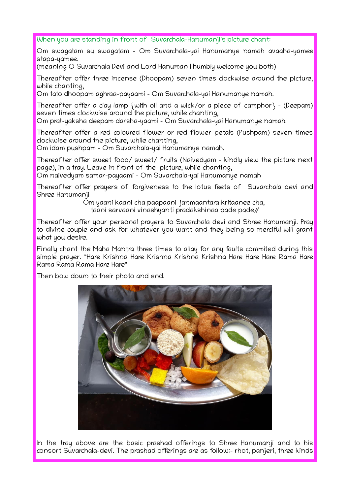When you are standing in front of Suvarchala-Hanumanji's picture chant:

Om swagatam su swagatam - Om Suvarchala-yai Hanumanye namah avaaha-yamee stapa-yamee.

(meaning O Suvarchala Devi and Lord Hanuman I humbly welcome you both)

Thereafter offer three incense (Dhoopam) seven times clockwise around the picture, while chanting,

Om tato dhoopam aghraa-payaami – Om Suvarchala-yai Hanumanye namah.

Thereafter offer a clay lamp {with oil and a wick/or a piece of camphor} – (Deepam) seven times clockwise around the picture, while chanting,

Om prat-yaksha deepam darsha-yaami – Om Suvarchala-yai Hanumanye namah.

Thereafter offer a red coloured flower or red flower petals (Pushpam) seven times clockwise around the picture, while chanting,

Om idam pushpam – Om Suvarchala-yai Hanumanye namah.

Thereafter offer sweet food/ sweet/ fruits (Naivedyam – kindly view the picture next page), in a tray. Leave in front of the picture, while chanting,

Om naivedyam samar-payaami – Om Suvarchala-yai Hanumanye namah

Thereafter offer prayers of forgiveness to the lotus feets of Suvarchala devi and Shree Hanumanji

Om yaani kaani cha paapaani janmaantara kritaanee cha, taani sarvaani vinashyanti pradakshinaa pade pade//

Thereafter offer your personal prayers to Suvarchala devi and Shree Hanumanji. Pray to divine couple and ask for whatever you want and they being so merciful will grant what you desire.

Finally chant the Maha Mantra three times to allay for any faults commited during this simple prayer. "Hare Krishna Hare Krishna Krishna Krishna Hare Hare Hare Rama Hare Rama Rama Rama Hare Hare"

Then bow down to their photo and end.

![](_page_6_Picture_16.jpeg)

In the tray above are the basic prashad offerings to Shree Hanumanji and to his consort Suvarchala-devi. The prashad offerings are as follow:- rhot, panjeri, three kinds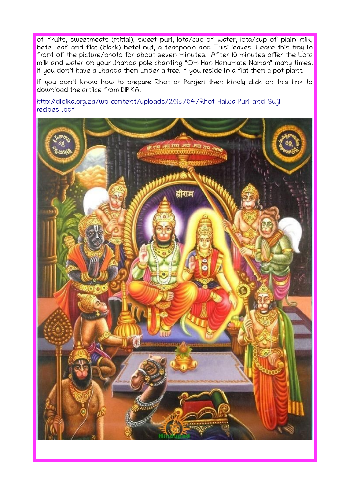of fruits, sweetmeats (mittai), sweet puri, lota/cup of water, lota/cup of plain milk, betel leaf and flat (black) betel nut, a teaspoon and Tulsi leaves. Leave this tray in front of the picture/photo for about seven minutes. After 10 minutes offer the Lota milk and water on your Jhanda pole chanting "Om Han Hanumate Namah" many times. If you don't have a Jhanda then under a tree. If you reside in a flat then a pot plant.

If you don't know how to prepare Rhot or Panjeri then kindly click on this link to download the artilce from DIPIKA.

[http://dipika.org.za/wp-content/uploads/2015/04/Rhot-Halwa-Puri-and-Suji](http://dipika.org.za/wp-content/uploads/2015/04/Rhot-Halwa-Puri-and-Suji-recipes-.pdf)[recipes-.pdf](http://dipika.org.za/wp-content/uploads/2015/04/Rhot-Halwa-Puri-and-Suji-recipes-.pdf)

![](_page_7_Picture_3.jpeg)